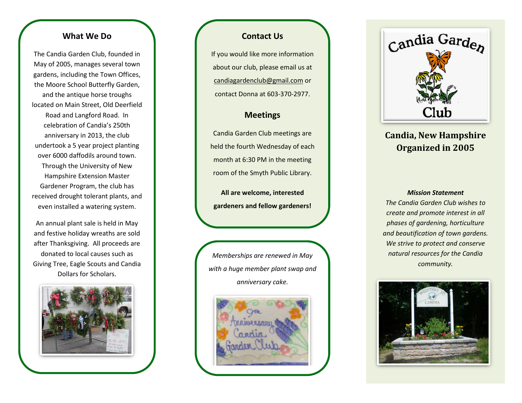## **What We Do**

The Candia Garden Club, founded in May of 2005, manages several town gardens, including the Town Offices, the Moore School Butterfly Garden, and the antique horse troughs located on Main Street, Old Deerfield Road and Langford Road. In celebration of Candia's 250th anniversary in 2013, the club undertook a 5 year project planting over 6000 daffodils around town. Through the University of New Hampshire Extension Master Gardener Program, the club has received drought tolerant plants, and even installed a watering system.

An annual plant sale is held in May and festive holiday wreaths are sold after Thanksgiving. All proceeds are donated to local causes such as Giving Tree, Eagle Scouts and Candia Dollars for Scholars.



## **Contact Us**

If you would like more information about our club, please email us at candiagardenclub@gmail.com or contact Donna at 603 -370 -2977.

## **Meetings**

Candia Garden Club meetings are held the fourth Wednesday of each month at 6:30 PM in the meeting room of the Smyth Public Library.

**All are welcome, interested gardeners and fellow gardeners!**







# **Candia, New Hampshire Organized in 2005**

#### *Mission Statement*

*The Candia Garden Club wishes to create and promote interest in all phases of gardening, horticulture and beautification of town gardens. We strive to protect and conserve natural resources for the Candia community.*